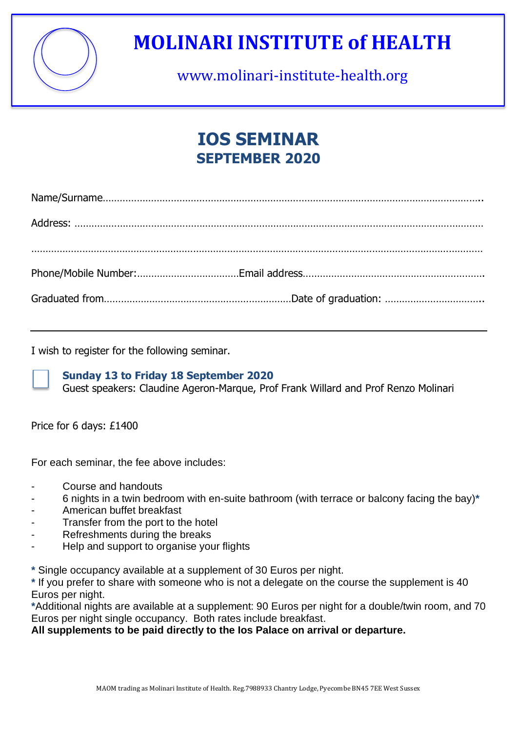

# **MOLINARI INSTITUTE of HEALTH**

www.molinari-institute-health.org

### **IOS SEMINAR SEPTEMBER 2020**

I wish to register for the following seminar.



#### **Sunday 13 to Friday 18 September 2020**

Guest speakers: Claudine Ageron-Marque, Prof Frank Willard and Prof Renzo Molinari

Price for 6 days: £1400

For each seminar, the fee above includes:

- Course and handouts
- 6 nights in a twin bedroom with en-suite bathroom (with terrace or balcony facing the bay)**\***
- American buffet breakfast
- Transfer from the port to the hotel
- Refreshments during the breaks
- Help and support to organise your flights

**\*** Single occupancy available at a supplement of 30 Euros per night.

**\*** If you prefer to share with someone who is not a delegate on the course the supplement is 40 Euros per night.

**\***Additional nights are available at a supplement: 90 Euros per night for a double/twin room, and 70 Euros per night single occupancy. Both rates include breakfast.

**All supplements to be paid directly to the Ios Palace on arrival or departure.**